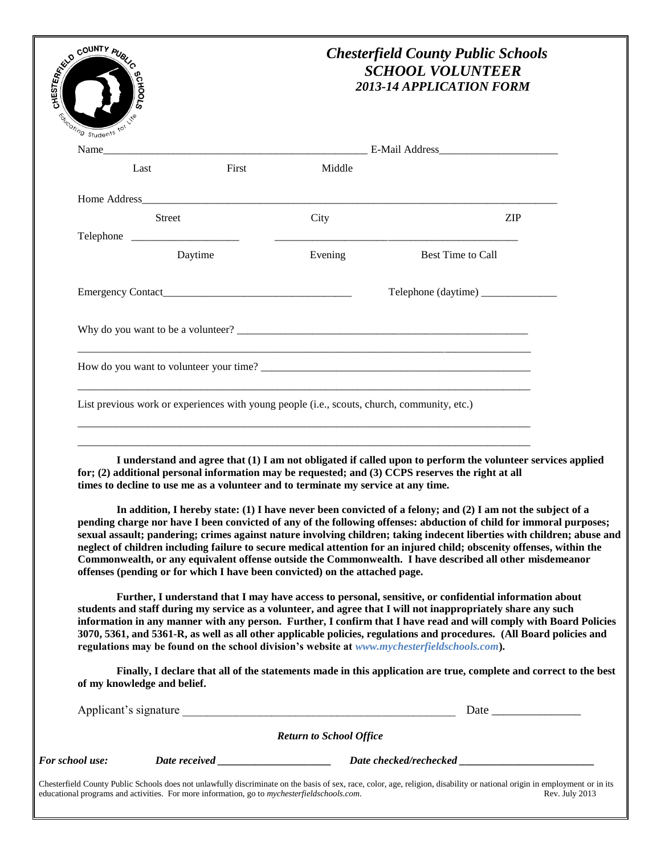| <b>ESSERIES COUNTY PUBLIC</b><br>Eucoting Students to | <b>CHOOLS</b>               |                                                                                                                                                                   | <b>Chesterfield County Public Schools</b><br><b>SCHOOL VOLUNTEER</b><br>2013-14 APPLICATION FORM                                                                                                                                                                                                                                                                                                                                                                                                                                                                                                                                                                                                                                                                                                                                                                                                                                                                                                                                                                                                                                                                                                                                                                                                  |  |
|-------------------------------------------------------|-----------------------------|-------------------------------------------------------------------------------------------------------------------------------------------------------------------|---------------------------------------------------------------------------------------------------------------------------------------------------------------------------------------------------------------------------------------------------------------------------------------------------------------------------------------------------------------------------------------------------------------------------------------------------------------------------------------------------------------------------------------------------------------------------------------------------------------------------------------------------------------------------------------------------------------------------------------------------------------------------------------------------------------------------------------------------------------------------------------------------------------------------------------------------------------------------------------------------------------------------------------------------------------------------------------------------------------------------------------------------------------------------------------------------------------------------------------------------------------------------------------------------|--|
|                                                       |                             |                                                                                                                                                                   |                                                                                                                                                                                                                                                                                                                                                                                                                                                                                                                                                                                                                                                                                                                                                                                                                                                                                                                                                                                                                                                                                                                                                                                                                                                                                                   |  |
| Name                                                  | Last                        | First<br>Middle                                                                                                                                                   |                                                                                                                                                                                                                                                                                                                                                                                                                                                                                                                                                                                                                                                                                                                                                                                                                                                                                                                                                                                                                                                                                                                                                                                                                                                                                                   |  |
|                                                       |                             |                                                                                                                                                                   |                                                                                                                                                                                                                                                                                                                                                                                                                                                                                                                                                                                                                                                                                                                                                                                                                                                                                                                                                                                                                                                                                                                                                                                                                                                                                                   |  |
|                                                       | <b>Street</b>               | City                                                                                                                                                              | <b>ZIP</b>                                                                                                                                                                                                                                                                                                                                                                                                                                                                                                                                                                                                                                                                                                                                                                                                                                                                                                                                                                                                                                                                                                                                                                                                                                                                                        |  |
|                                                       | Telephone                   |                                                                                                                                                                   |                                                                                                                                                                                                                                                                                                                                                                                                                                                                                                                                                                                                                                                                                                                                                                                                                                                                                                                                                                                                                                                                                                                                                                                                                                                                                                   |  |
|                                                       | Daytime                     | Evening                                                                                                                                                           | Best Time to Call                                                                                                                                                                                                                                                                                                                                                                                                                                                                                                                                                                                                                                                                                                                                                                                                                                                                                                                                                                                                                                                                                                                                                                                                                                                                                 |  |
|                                                       |                             | Emergency Contact                                                                                                                                                 |                                                                                                                                                                                                                                                                                                                                                                                                                                                                                                                                                                                                                                                                                                                                                                                                                                                                                                                                                                                                                                                                                                                                                                                                                                                                                                   |  |
|                                                       |                             |                                                                                                                                                                   |                                                                                                                                                                                                                                                                                                                                                                                                                                                                                                                                                                                                                                                                                                                                                                                                                                                                                                                                                                                                                                                                                                                                                                                                                                                                                                   |  |
|                                                       |                             |                                                                                                                                                                   | How do you want to volunteer your time?                                                                                                                                                                                                                                                                                                                                                                                                                                                                                                                                                                                                                                                                                                                                                                                                                                                                                                                                                                                                                                                                                                                                                                                                                                                           |  |
|                                                       |                             | times to decline to use me as a volunteer and to terminate my service at any time.<br>offenses (pending or for which I have been convicted) on the attached page. | I understand and agree that (1) I am not obligated if called upon to perform the volunteer services applied<br>for; (2) additional personal information may be requested; and (3) CCPS reserves the right at all<br>In addition, I hereby state: (1) I have never been convicted of a felony; and (2) I am not the subject of a<br>pending charge nor have I been convicted of any of the following offenses: abduction of child for immoral purposes;<br>sexual assault; pandering; crimes against nature involving children; taking indecent liberties with children; abuse and<br>neglect of children including failure to secure medical attention for an injured child; obscenity offenses, within the<br>Commonwealth, or any equivalent offense outside the Commonwealth. I have described all other misdemeanor<br>Further, I understand that I may have access to personal, sensitive, or confidential information about<br>students and staff during my service as a volunteer, and agree that I will not inappropriately share any such<br>information in any manner with any person. Further, I confirm that I have read and will comply with Board Policies<br>3070, 5361, and 5361-R, as well as all other applicable policies, regulations and procedures. (All Board policies and |  |
|                                                       |                             |                                                                                                                                                                   | regulations may be found on the school division's website at www.mychesterfieldschools.com).<br>Finally, I declare that all of the statements made in this application are true, complete and correct to the best                                                                                                                                                                                                                                                                                                                                                                                                                                                                                                                                                                                                                                                                                                                                                                                                                                                                                                                                                                                                                                                                                 |  |
|                                                       | of my knowledge and belief. |                                                                                                                                                                   |                                                                                                                                                                                                                                                                                                                                                                                                                                                                                                                                                                                                                                                                                                                                                                                                                                                                                                                                                                                                                                                                                                                                                                                                                                                                                                   |  |
|                                                       |                             | <b>Return to School Office</b>                                                                                                                                    |                                                                                                                                                                                                                                                                                                                                                                                                                                                                                                                                                                                                                                                                                                                                                                                                                                                                                                                                                                                                                                                                                                                                                                                                                                                                                                   |  |
| For school use:                                       |                             |                                                                                                                                                                   |                                                                                                                                                                                                                                                                                                                                                                                                                                                                                                                                                                                                                                                                                                                                                                                                                                                                                                                                                                                                                                                                                                                                                                                                                                                                                                   |  |
|                                                       |                             | educational programs and activities. For more information, go to mychesterfieldschools.com.                                                                       | Chesterfield County Public Schools does not unlawfully discriminate on the basis of sex, race, color, age, religion, disability or national origin in employment or in its<br>Rev. July 2013                                                                                                                                                                                                                                                                                                                                                                                                                                                                                                                                                                                                                                                                                                                                                                                                                                                                                                                                                                                                                                                                                                      |  |